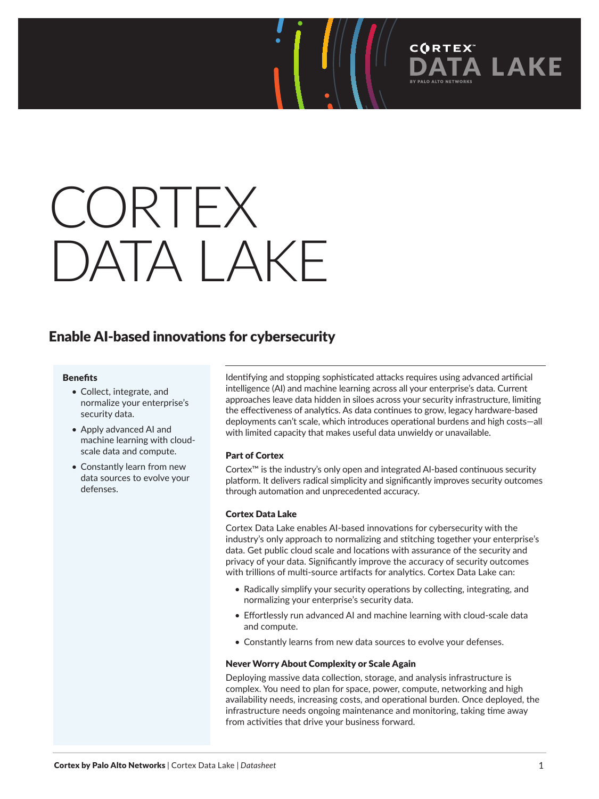# CORTEX **DATA LAKE**

### Enable AI-based innovations for cybersecurity

### **Benefits**

- Collect, integrate, and normalize your enterprise's security data.
- Apply advanced AI and machine learning with cloudscale data and compute.
- Constantly learn from new data sources to evolve your defenses.

Identifying and stopping sophisticated attacks requires using advanced artificial intelligence (AI) and machine learning across all your enterprise's data. Current approaches leave data hidden in siloes across your security infrastructure, limiting the effectiveness of analytics. As data continues to grow, legacy hardware-based deployments can't scale, which introduces operational burdens and high costs—all with limited capacity that makes useful data unwieldy or unavailable.

**CORTEX** 

**LAKE** 

### Part of Cortex

Cortex™ is the industry's only open and integrated AI-based continuous security platform. It delivers radical simplicity and significantly improves security outcomes through automation and unprecedented accuracy.

### Cortex Data Lake

Cortex Data Lake enables AI-based innovations for cybersecurity with the industry's only approach to normalizing and stitching together your enterprise's data. Get public cloud scale and locations with assurance of the security and privacy of your data. Significantly improve the accuracy of security outcomes with trillions of multi-source artifacts for analytics. Cortex Data Lake can:

- Radically simplify your security operations by collecting, integrating, and normalizing your enterprise's security data.
- Effortlessly run advanced AI and machine learning with cloud-scale data and compute.
- Constantly learns from new data sources to evolve your defenses.

### Never Worry About Complexity or Scale Again

Deploying massive data collection, storage, and analysis infrastructure is complex. You need to plan for space, power, compute, networking and high availability needs, increasing costs, and operational burden. Once deployed, the infrastructure needs ongoing maintenance and monitoring, taking time away from activities that drive your business forward.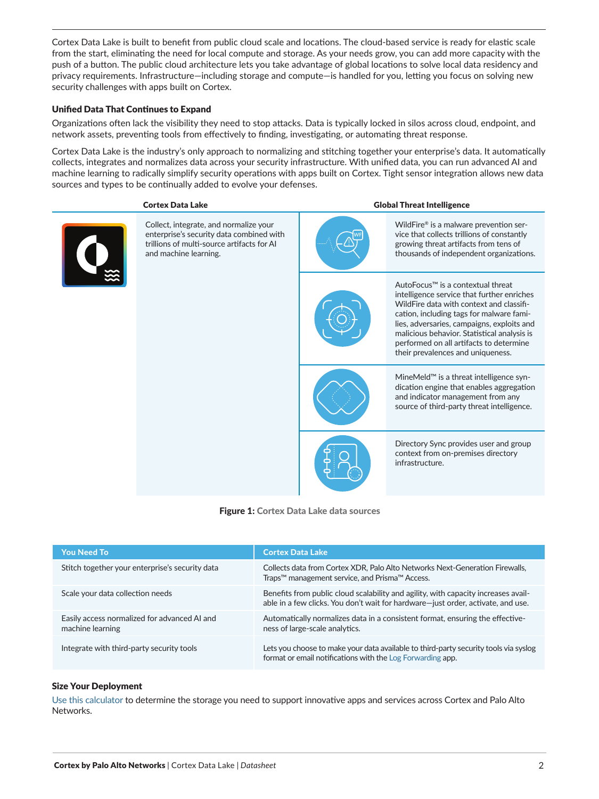Cortex Data Lake is built to benefit from public cloud scale and locations. The cloud-based service is ready for elastic scale from the start, eliminating the need for local compute and storage. As your needs grow, you can add more capacity with the push of a button. The public cloud architecture lets you take advantage of global locations to solve local data residency and privacy requirements. Infrastructure—including storage and compute—is handled for you, letting you focus on solving new security challenges with apps built on Cortex.

### Unified Data That Continues to Expand

Organizations often lack the visibility they need to stop attacks. Data is typically locked in silos across cloud, endpoint, and network assets, preventing tools from effectively to finding, investigating, or automating threat response.

Cortex Data Lake is the industry's only approach to normalizing and stitching together your enterprise's data. It automatically collects, integrates and normalizes data across your security infrastructure. With unified data, you can run advanced AI and machine learning to radically simplify security operations with apps built on Cortex. Tight sensor integration allows new data sources and types to be continually added to evolve your defenses.

## Cortex Data Lake Global Threat Intelligence

Collect, integrate, and normalize your enterprise's security data combined with trillions of multi-source artifacts for AI and machine learning.





AutoFocus™ is a contextual threat intelligence service that further enriches WildFire data with context and classification, including tags for malware families, adversaries, campaigns, exploits and malicious behavior. Statistical analysis is performed on all artifacts to determine their prevalences and uniqueness.

WildFire® is a malware prevention service that collects trillions of constantly growing threat artifacts from tens of thousands of independent organizations.

MineMeld™ is a threat intelligence syndication engine that enables aggregation and indicator management from any source of third-party threat intelligence.

Directory Sync provides user and group context from on-premises directory infrastructure.

Figure 1: Cortex Data Lake data sources

| <b>You Need To</b>                                               | <b>Cortex Data Lake</b>                                                                                                                                                |
|------------------------------------------------------------------|------------------------------------------------------------------------------------------------------------------------------------------------------------------------|
| Stitch together your enterprise's security data                  | Collects data from Cortex XDR, Palo Alto Networks Next-Generation Firewalls,<br>Traps <sup>™</sup> management service, and Prisma™ Access.                             |
| Scale your data collection needs                                 | Benefits from public cloud scalability and agility, with capacity increases avail-<br>able in a few clicks. You don't wait for hardware-just order, activate, and use. |
| Easily access normalized for advanced AI and<br>machine learning | Automatically normalizes data in a consistent format, ensuring the effective-<br>ness of large-scale analytics.                                                        |
| Integrate with third-party security tools                        | Lets you choose to make your data available to third-party security tools via syslog<br>format or email notifications with the Log Forwarding app.                     |

### Size Your Deployment

[Use this calculator](https://apps.paloaltonetworks.com/logging-service-calculator) to determine the storage you need to support innovative apps and services across Cortex and Palo Alto Networks.